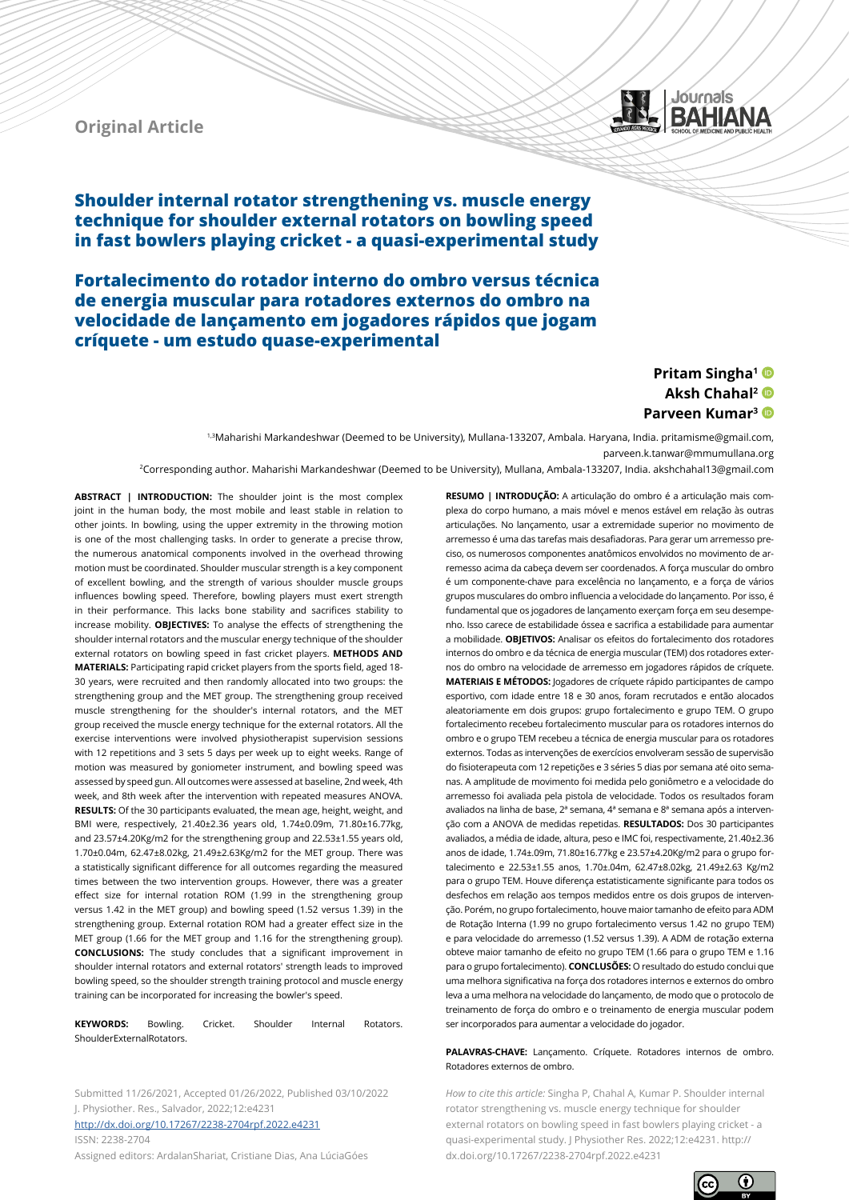

**Original Article**

**Shoulder internal rotator strengthening vs. muscle energy technique for shoulder external rotators on bowling speed in fast bowlers playing cricket - a quasi-experimental study**

**Fortalecimento do rotador interno do ombro versus técnica de energia muscular para rotadores externos do ombro na velocidade de lançamento em jogadores rápidos que jogam críquete - um estudo quase-experimental**

# **Pritam Singha1 Aksh Chahal2 Parveen Kumar3**

1,3Maharishi Markandeshwar (Deemed to be University), Mullana-133207, Ambala. Haryana, India. pritamisme@gmail.com, parveen.k.tanwar@mmumullana.org

2Corresponding author. Maharishi Markandeshwar (Deemed to be University), Mullana, Ambala-133207, India. akshchahal13@gmail.com

**ABSTRACT | INTRODUCTION:** The shoulder joint is the most complex joint in the human body, the most mobile and least stable in relation to other joints. In bowling, using the upper extremity in the throwing motion is one of the most challenging tasks. In order to generate a precise throw, the numerous anatomical components involved in the overhead throwing motion must be coordinated. Shoulder muscular strength is a key component of excellent bowling, and the strength of various shoulder muscle groups influences bowling speed. Therefore, bowling players must exert strength in their performance. This lacks bone stability and sacrifices stability to increase mobility. **OBJECTIVES:** To analyse the effects of strengthening the shoulder internal rotators and the muscular energy technique of the shoulder external rotators on bowling speed in fast cricket players. **METHODS AND MATERIALS:** Participating rapid cricket players from the sports field, aged 18- 30 years, were recruited and then randomly allocated into two groups: the strengthening group and the MET group. The strengthening group received muscle strengthening for the shoulder's internal rotators, and the MET group received the muscle energy technique for the external rotators. All the exercise interventions were involved physiotherapist supervision sessions with 12 repetitions and 3 sets 5 days per week up to eight weeks. Range of motion was measured by goniometer instrument, and bowling speed was assessed by speed gun. All outcomes were assessed at baseline, 2nd week, 4th week, and 8th week after the intervention with repeated measures ANOVA. **RESULTS:** Of the 30 participants evaluated, the mean age, height, weight, and BMI were, respectively, 21.40±2.36 years old, 1.74±0.09m, 71.80±16.77kg, and 23.57±4.20Kg/m2 for the strengthening group and 22.53±1.55 years old, 1.70±0.04m, 62.47±8.02kg, 21.49±2.63Kg/m2 for the MET group. There was a statistically significant difference for all outcomes regarding the measured times between the two intervention groups. However, there was a greater effect size for internal rotation ROM (1.99 in the strengthening group versus 1.42 in the MET group) and bowling speed (1.52 versus 1.39) in the strengthening group. External rotation ROM had a greater effect size in the MET group (1.66 for the MET group and 1.16 for the strengthening group). **CONCLUSIONS:** The study concludes that a significant improvement in shoulder internal rotators and external rotators' strength leads to improved bowling speed, so the shoulder strength training protocol and muscle energy training can be incorporated for increasing the bowler's speed.

**KEYWORDS:** Bowling. Cricket. Shoulder Internal Rotators. ShoulderExternalRotators.

Submitted 11/26/2021, Accepted 01/26/2022, Published 03/10/2022 J. Physiother. Res., Salvador, 2022;12:e4231 <http://dx.doi.org/10.17267/2238-2704rpf.2022.e4231> ISSN: 2238-2704

Assigned editors: ArdalanShariat, Cristiane Dias, Ana LúciaGóes

**RESUMO | INTRODUÇÃO:** A articulação do ombro é a articulação mais complexa do corpo humano, a mais móvel e menos estável em relação às outras articulações. No lançamento, usar a extremidade superior no movimento de arremesso é uma das tarefas mais desafiadoras. Para gerar um arremesso preciso, os numerosos componentes anatômicos envolvidos no movimento de arremesso acima da cabeça devem ser coordenados. A força muscular do ombro é um componente-chave para excelência no lançamento, e a força de vários grupos musculares do ombro influencia a velocidade do lançamento. Por isso, é fundamental que os jogadores de lançamento exerçam força em seu desempenho. Isso carece de estabilidade óssea e sacrifica a estabilidade para aumentar a mobilidade. **OBJETIVOS:** Analisar os efeitos do fortalecimento dos rotadores internos do ombro e da técnica de energia muscular (TEM) dos rotadores externos do ombro na velocidade de arremesso em jogadores rápidos de críquete. **MATERIAIS E MÉTODOS:** Jogadores de críquete rápido participantes de campo esportivo, com idade entre 18 e 30 anos, foram recrutados e então alocados aleatoriamente em dois grupos: grupo fortalecimento e grupo TEM. O grupo fortalecimento recebeu fortalecimento muscular para os rotadores internos do ombro e o grupo TEM recebeu a técnica de energia muscular para os rotadores externos. Todas as intervenções de exercícios envolveram sessão de supervisão do fisioterapeuta com 12 repetições e 3 séries 5 dias por semana até oito semanas. A amplitude de movimento foi medida pelo goniômetro e a velocidade do arremesso foi avaliada pela pistola de velocidade. Todos os resultados foram avaliados na linha de base. 2ª semana, 4ª semana e 8ª semana após a intervenção com a ANOVA de medidas repetidas. **RESULTADOS:** Dos 30 participantes avaliados, a média de idade, altura, peso e IMC foi, respectivamente, 21.40±2.36 anos de idade, 1.74±.09m, 71.80±16.77kg e 23.57±4.20Kg/m2 para o grupo fortalecimento e 22.53±1.55 anos, 1.70±.04m, 62.47±8.02kg, 21.49±2.63 Kg/m2 para o grupo TEM. Houve diferença estatisticamente significante para todos os desfechos em relação aos tempos medidos entre os dois grupos de intervenção. Porém, no grupo fortalecimento, houve maior tamanho de efeito para ADM de Rotação Interna (1.99 no grupo fortalecimento versus 1.42 no grupo TEM) e para velocidade do arremesso (1.52 versus 1.39). A ADM de rotação externa obteve maior tamanho de efeito no grupo TEM (1.66 para o grupo TEM e 1.16 para o grupo fortalecimento). **CONCLUSÕES:** O resultado do estudo conclui que uma melhora significativa na força dos rotadores internos e externos do ombro leva a uma melhora na velocidade do lançamento, de modo que o protocolo de treinamento de força do ombro e o treinamento de energia muscular podem ser incorporados para aumentar a velocidade do jogador.

#### **PALAVRAS-CHAVE:** Lançamento. Críquete. Rotadores internos de ombro. Rotadores externos de ombro.

*How to cite this article:* Singha P, Chahal A, Kumar P. Shoulder internal rotator strengthening vs. muscle energy technique for shoulder external rotators on bowling speed in fast bowlers playing cricket - a quasi-experimental study. J Physiother Res. 2022;12:e4231. http:// dx.doi.org/10.17267/2238-2704rpf.2022.e4231

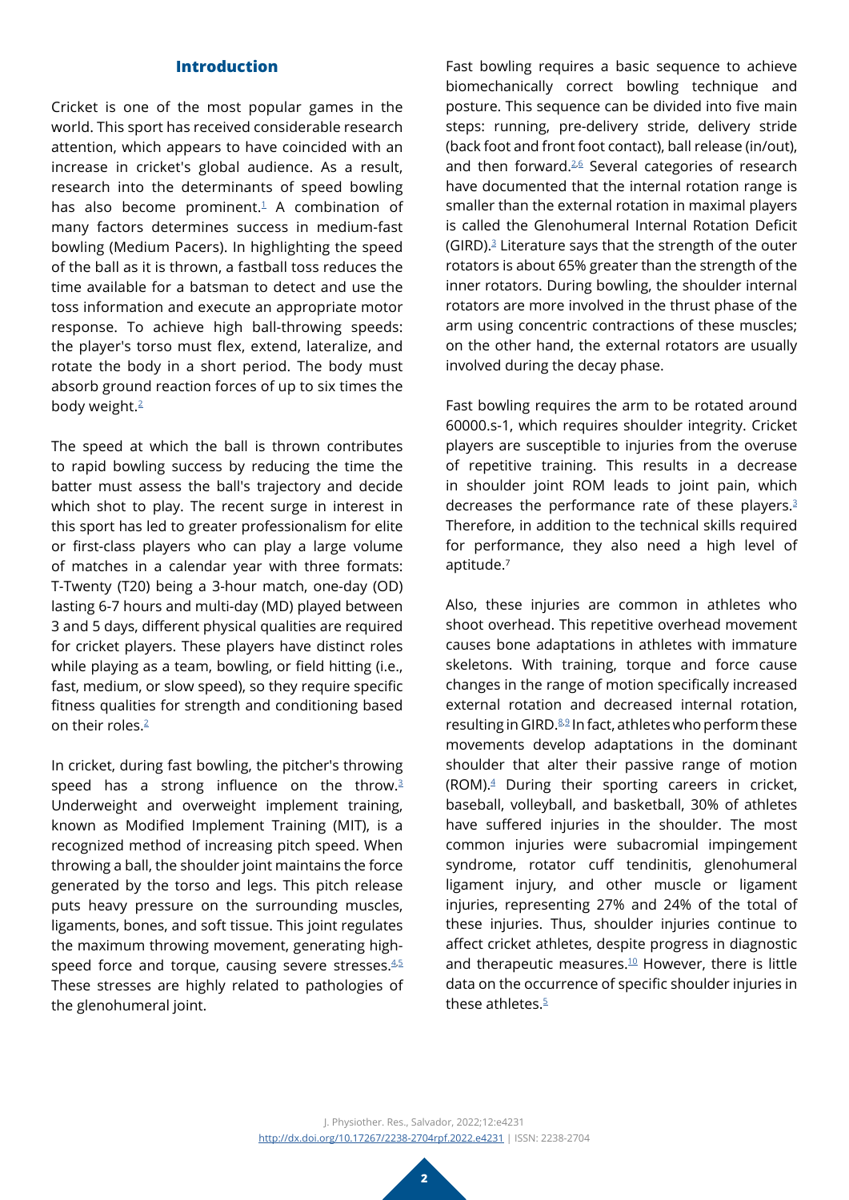### **Introduction**

Cricket is one of the most popular games in the world. This sport has received considerable research attention, which appears to have coincided with an increase in cricket's global audience. As a result, research into the determinants of speed bowling has also become prominent. $1$  A combination of many factors determines success in medium-fast bowling (Medium Pacers). In highlighting the speed of the ball as it is thrown, a fastball toss reduces the time available for a batsman to detect and use the toss information and execute an appropriate motor response. To achieve high ball-throwing speeds: the player's torso must flex, extend, lateralize, and rotate the body in a short period. The body must absorb ground reaction forces of up to six times the body weight.<sup>[2](#page-8-1)</sup>

The speed at which the ball is thrown contributes to rapid bowling success by reducing the time the batter must assess the ball's trajectory and decide which shot to play. The recent surge in interest in this sport has led to greater professionalism for elite or first-class players who can play a large volume of matches in a calendar year with three formats: T-Twenty (T20) being a 3-hour match, one-day (OD) lasting 6-7 hours and multi-day (MD) played between 3 and 5 days, different physical qualities are required for cricket players. These players have distinct roles while playing as a team, bowling, or field hitting (i.e., fast, medium, or slow speed), so they require specific fitness qualities for strength and conditioning based on their roles.<sup>[2](#page-8-1)</sup>

In cricket, during fast bowling, the pitcher's throwing speed has a strong influence on the throw.<sup>[3](#page-8-2)</sup> Underweight and overweight implement training, known as Modified Implement Training (MIT), is a recognized method of increasing pitch speed. When throwing a ball, the shoulder joint maintains the force generated by the torso and legs. This pitch release puts heavy pressure on the surrounding muscles, ligaments, bones, and soft tissue. This joint regulates the maximum throwing movement, generating high-speed force and torque, causing severe stresses.<sup>[4](#page-8-3),[5](#page-8-4)</sup> These stresses are highly related to pathologies of the glenohumeral joint.

Fast bowling requires a basic sequence to achieve biomechanically correct bowling technique and posture. This sequence can be divided into five main steps: running, pre-delivery stride, delivery stride (back foot and front foot contact), ball release (in/out), and then forward.<sup>[2](#page-8-1),[6](#page-8-5)</sup> Several categories of research have documented that the internal rotation range is smaller than the external rotation in maximal players is called the Glenohumeral Internal Rotation Deficit  $(GIRD).$ <sup>[3](#page-8-2)</sup> Literature says that the strength of the outer rotators is about 65% greater than the strength of the inner rotators. During bowling, the shoulder internal rotators are more involved in the thrust phase of the arm using concentric contractions of these muscles; on the other hand, the external rotators are usually involved during the decay phase.

Fast bowling requires the arm to be rotated around 60000.s-1, which requires shoulder integrity. Cricket players are susceptible to injuries from the overuse of repetitive training. This results in a decrease in shoulder joint ROM leads to joint pain, which decreases the performance rate of these players.<sup>[3](#page-8-2)</sup> Therefore, in addition to the technical skills required for performance, they also need a high level of aptitude.<sup>7</sup>

Also, these injuries are common in athletes who shoot overhead. This repetitive overhead movement causes bone adaptations in athletes with immature skeletons. With training, torque and force cause changes in the range of motion specifically increased external rotation and decreased internal rotation, resulting in GIRD.<sup>[8](#page-9-0),[9](#page-9-1)</sup> In fact, athletes who perform these movements develop adaptations in the dominant shoulder that alter their passive range of motion (ROM)[.4](#page-8-3) During their sporting careers in cricket, baseball, volleyball, and basketball, 30% of athletes have suffered injuries in the shoulder. The most common injuries were subacromial impingement syndrome, rotator cuff tendinitis, glenohumeral ligament injury, and other muscle or ligament injuries, representing 27% and 24% of the total of these injuries. Thus, shoulder injuries continue to affect cricket athletes, despite progress in diagnostic and therapeutic measures. $10$  However, there is little data on the occurrence of specific shoulder injuries in these athletes. $5$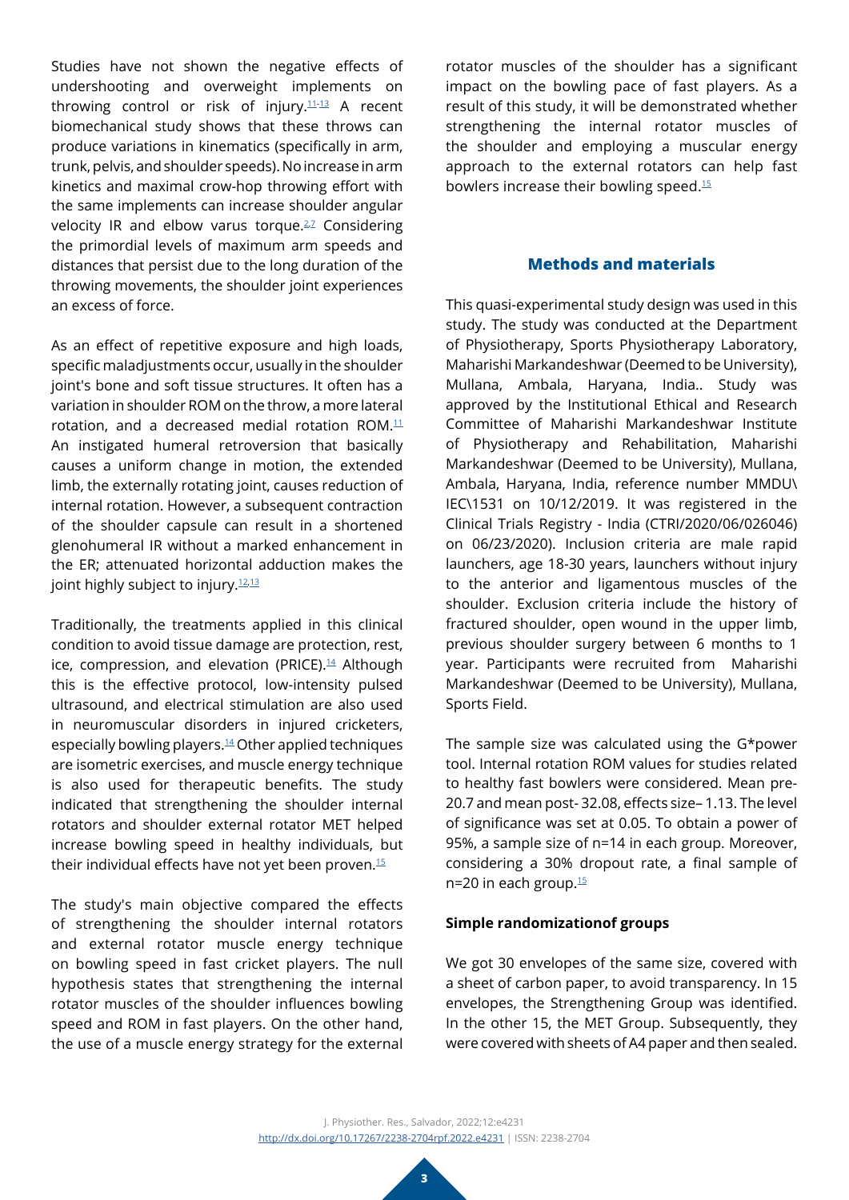Studies have not shown the negative effects of undershooting and overweight implements on throwing control or risk of injury.[11](#page-9-3)[-13](#page-9-4) A recent biomechanical study shows that these throws can produce variations in kinematics (specifically in arm, trunk, pelvis, and shoulder speeds). No increase in arm kinetics and maximal crow-hop throwing effort with the same implements can increase shoulder angular velocity IR and elbow varus torque. $2,7$  $2,7$  Considering the primordial levels of maximum arm speeds and distances that persist due to the long duration of the throwing movements, the shoulder joint experiences an excess of force.

As an effect of repetitive exposure and high loads, specific maladjustments occur, usually in the shoulder joint's bone and soft tissue structures. It often has a variation in shoulder ROM on the throw, a more lateral rotation, and a decreased medial rotation ROM. $11$ An instigated humeral retroversion that basically causes a uniform change in motion, the extended limb, the externally rotating joint, causes reduction of internal rotation. However, a subsequent contraction of the shoulder capsule can result in a shortened glenohumeral IR without a marked enhancement in the ER; attenuated horizontal adduction makes the joint highly subject to injury.<sup>[12](#page-9-6),[13](#page-9-4)</sup>

Traditionally, the treatments applied in this clinical condition to avoid tissue damage are protection, rest, ice, compression, and elevation (PRICE).<sup>[14](#page-9-7)</sup> Although this is the effective protocol, low-intensity pulsed ultrasound, and electrical stimulation are also used in neuromuscular disorders in injured cricketers, especially bowling players.[14](#page-9-7) Other applied techniques are isometric exercises, and muscle energy technique is also used for therapeutic benefits. The study indicated that strengthening the shoulder internal rotators and shoulder external rotator MET helped increase bowling speed in healthy individuals, but their individual effects have not yet been proven.[15](#page-9-8)

The study's main objective compared the effects of strengthening the shoulder internal rotators and external rotator muscle energy technique on bowling speed in fast cricket players. The null hypothesis states that strengthening the internal rotator muscles of the shoulder influences bowling speed and ROM in fast players. On the other hand, the use of a muscle energy strategy for the external

rotator muscles of the shoulder has a significant impact on the bowling pace of fast players. As a result of this study, it will be demonstrated whether strengthening the internal rotator muscles of the shoulder and employing a muscular energy approach to the external rotators can help fast bowlers increase their bowling speed.[15](#page-9-8)

# **Methods and materials**

This quasi-experimental study design was used in this study. The study was conducted at the Department of Physiotherapy, Sports Physiotherapy Laboratory, Maharishi Markandeshwar (Deemed to be University), Mullana, Ambala, Haryana, India.. Study was approved by the Institutional Ethical and Research Committee of Maharishi Markandeshwar Institute of Physiotherapy and Rehabilitation, Maharishi Markandeshwar (Deemed to be University), Mullana, Ambala, Haryana, India, reference number MMDU\ IEC\1531 on 10/12/2019. It was registered in the Clinical Trials Registry - India (CTRI/2020/06/026046) on 06/23/2020). Inclusion criteria are male rapid launchers, age 18-30 years, launchers without injury to the anterior and ligamentous muscles of the shoulder. Exclusion criteria include the history of fractured shoulder, open wound in the upper limb, previous shoulder surgery between 6 months to 1 year. Participants were recruited from Maharishi Markandeshwar (Deemed to be University), Mullana, Sports Field.

The sample size was calculated using the G\*power tool. Internal rotation ROM values for studies related to healthy fast bowlers were considered. Mean pre-20.7 and mean post- 32.08, effects size– 1.13. The level of significance was set at 0.05. To obtain a power of 95%, a sample size of n=14 in each group. Moreover, considering a 30% dropout rate, a final sample of n=20 in each group.<sup>15</sup>

# **Simple randomizationof groups**

We got 30 envelopes of the same size, covered with a sheet of carbon paper, to avoid transparency. In 15 envelopes, the Strengthening Group was identified. In the other 15, the MET Group. Subsequently, they were covered with sheets of A4 paper and then sealed.

J. Physiother. Res., Salvador, 2022;12:e4231 <http://dx.doi.org/10.17267/2238-2704rpf.2022.e4231> | ISSN: 2238-2704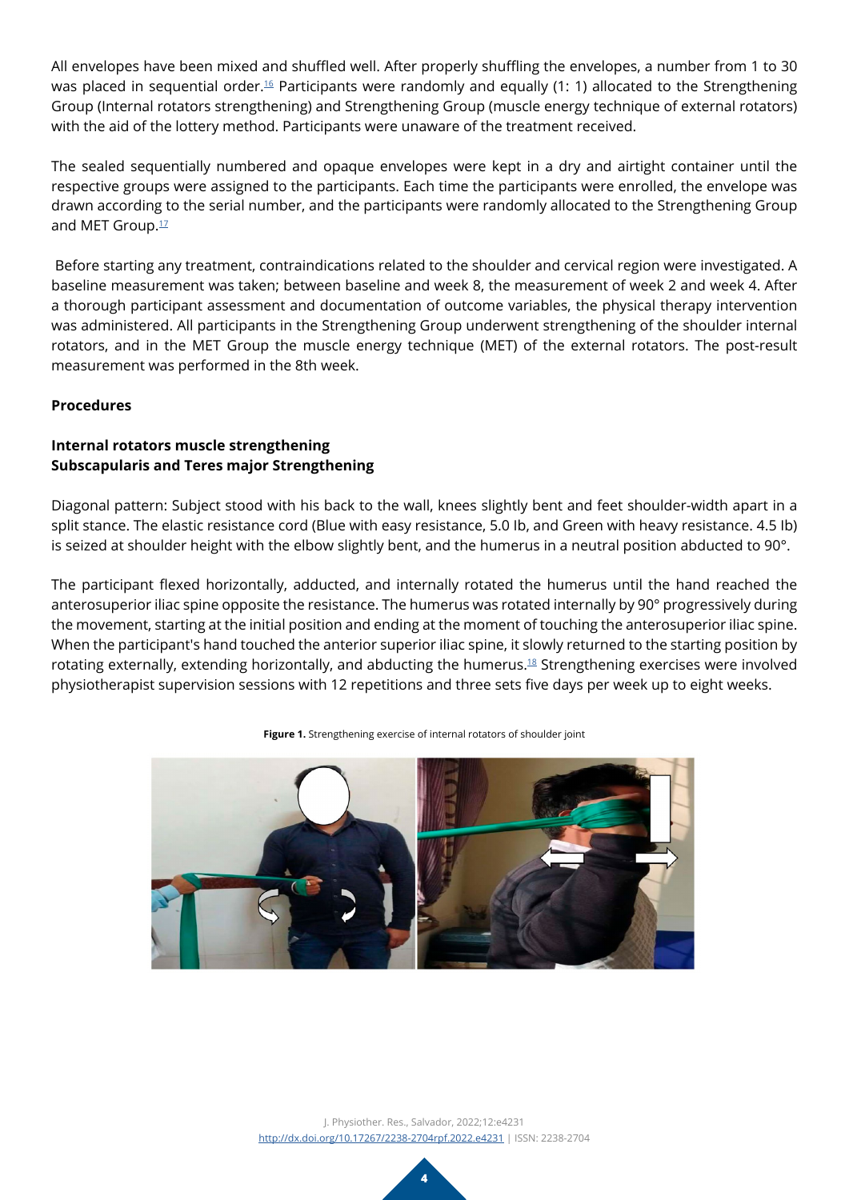All envelopes have been mixed and shuffled well. After properly shuffling the envelopes, a number from 1 to 30 was placed in sequential order.<sup>16</sup> Participants were randomly and equally (1: 1) allocated to the Strengthening Group (Internal rotators strengthening) and Strengthening Group (muscle energy technique of external rotators) with the aid of the lottery method. Participants were unaware of the treatment received.

The sealed sequentially numbered and opaque envelopes were kept in a dry and airtight container until the respective groups were assigned to the participants. Each time the participants were enrolled, the envelope was drawn according to the serial number, and the participants were randomly allocated to the Strengthening Group and MET Group.<sup>[17](#page-9-10)</sup>

 Before starting any treatment, contraindications related to the shoulder and cervical region were investigated. A baseline measurement was taken; between baseline and week 8, the measurement of week 2 and week 4. After a thorough participant assessment and documentation of outcome variables, the physical therapy intervention was administered. All participants in the Strengthening Group underwent strengthening of the shoulder internal rotators, and in the MET Group the muscle energy technique (MET) of the external rotators. The post-result measurement was performed in the 8th week.

# **Procedures**

# **Internal rotators muscle strengthening Subscapularis and Teres major Strengthening**

Diagonal pattern: Subject stood with his back to the wall, knees slightly bent and feet shoulder-width apart in a split stance. The elastic resistance cord (Blue with easy resistance, 5.0 Ib, and Green with heavy resistance. 4.5 Ib) is seized at shoulder height with the elbow slightly bent, and the humerus in a neutral position abducted to 90°.

The participant flexed horizontally, adducted, and internally rotated the humerus until the hand reached the anterosuperior iliac spine opposite the resistance. The humerus was rotated internally by 90° progressively during the movement, starting at the initial position and ending at the moment of touching the anterosuperior iliac spine. When the participant's hand touched the anterior superior iliac spine, it slowly returned to the starting position by rotating externally, extending horizontally, and abducting the humerus.[18](#page-9-11) Strengthening exercises were involved physiotherapist supervision sessions with 12 repetitions and three sets five days per week up to eight weeks.



**Figure 1.** Strengthening exercise of internal rotators of shoulder joint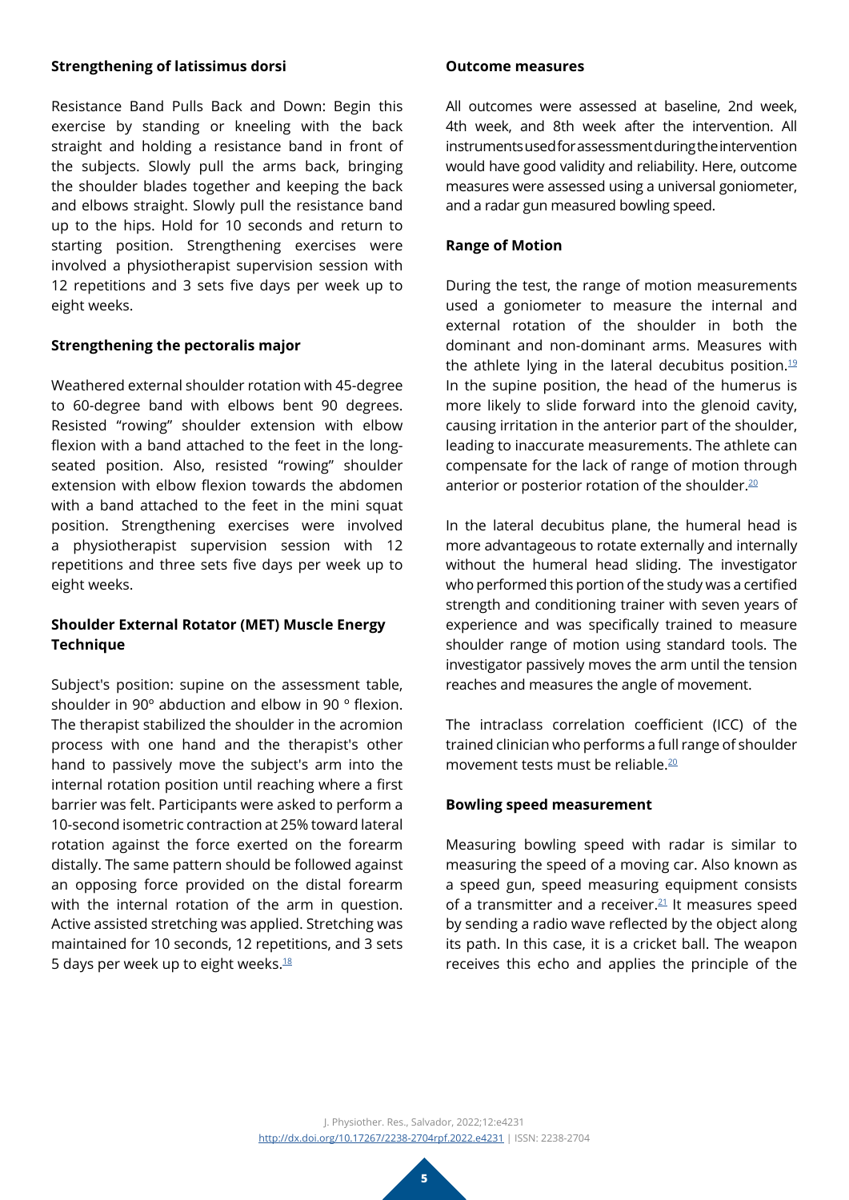### **Strengthening of latissimus dorsi**

Resistance Band Pulls Back and Down: Begin this exercise by standing or kneeling with the back straight and holding a resistance band in front of the subjects. Slowly pull the arms back, bringing the shoulder blades together and keeping the back and elbows straight. Slowly pull the resistance band up to the hips. Hold for 10 seconds and return to starting position. Strengthening exercises were involved a physiotherapist supervision session with 12 repetitions and 3 sets five days per week up to eight weeks.

### **Strengthening the pectoralis major**

Weathered external shoulder rotation with 45-degree to 60-degree band with elbows bent 90 degrees. Resisted "rowing" shoulder extension with elbow flexion with a band attached to the feet in the longseated position. Also, resisted "rowing" shoulder extension with elbow flexion towards the abdomen with a band attached to the feet in the mini squat position. Strengthening exercises were involved a physiotherapist supervision session with 12 repetitions and three sets five days per week up to eight weeks.

# **Shoulder External Rotator (MET) Muscle Energy Technique**

Subject's position: supine on the assessment table, shoulder in 90º abduction and elbow in 90 º flexion. The therapist stabilized the shoulder in the acromion process with one hand and the therapist's other hand to passively move the subject's arm into the internal rotation position until reaching where a first barrier was felt. Participants were asked to perform a 10-second isometric contraction at 25% toward lateral rotation against the force exerted on the forearm distally. The same pattern should be followed against an opposing force provided on the distal forearm with the internal rotation of the arm in question. Active assisted stretching was applied. Stretching was maintained for 10 seconds, 12 repetitions, and 3 sets 5 days per week up to eight weeks[.18](#page-9-11)

### **Outcome measures**

All outcomes were assessed at baseline, 2nd week, 4th week, and 8th week after the intervention. All instruments used for assessment during the intervention would have good validity and reliability. Here, outcome measures were assessed using a universal goniometer, and a radar gun measured bowling speed.

### **Range of Motion**

During the test, the range of motion measurements used a goniometer to measure the internal and external rotation of the shoulder in both the dominant and non-dominant arms. Measures with the athlete lying in the lateral decubitus position.<sup>[19](#page-9-12)</sup> In the supine position, the head of the humerus is more likely to slide forward into the glenoid cavity, causing irritation in the anterior part of the shoulder, leading to inaccurate measurements. The athlete can compensate for the lack of range of motion through anterior or posterior rotation of the shoulder.<sup>[20](#page-9-13)</sup>

In the lateral decubitus plane, the humeral head is more advantageous to rotate externally and internally without the humeral head sliding. The investigator who performed this portion of the study was a certified strength and conditioning trainer with seven years of experience and was specifically trained to measure shoulder range of motion using standard tools. The investigator passively moves the arm until the tension reaches and measures the angle of movement.

The intraclass correlation coefficient (ICC) of the trained clinician who performs a full range of shoulder movement tests must be reliable.<sup>[20](#page-9-13)</sup>

### **Bowling speed measurement**

Measuring bowling speed with radar is similar to measuring the speed of a moving car. Also known as a speed gun, speed measuring equipment consists of a transmitter and a receiver. $21$  It measures speed by sending a radio wave reflected by the object along its path. In this case, it is a cricket ball. The weapon receives this echo and applies the principle of the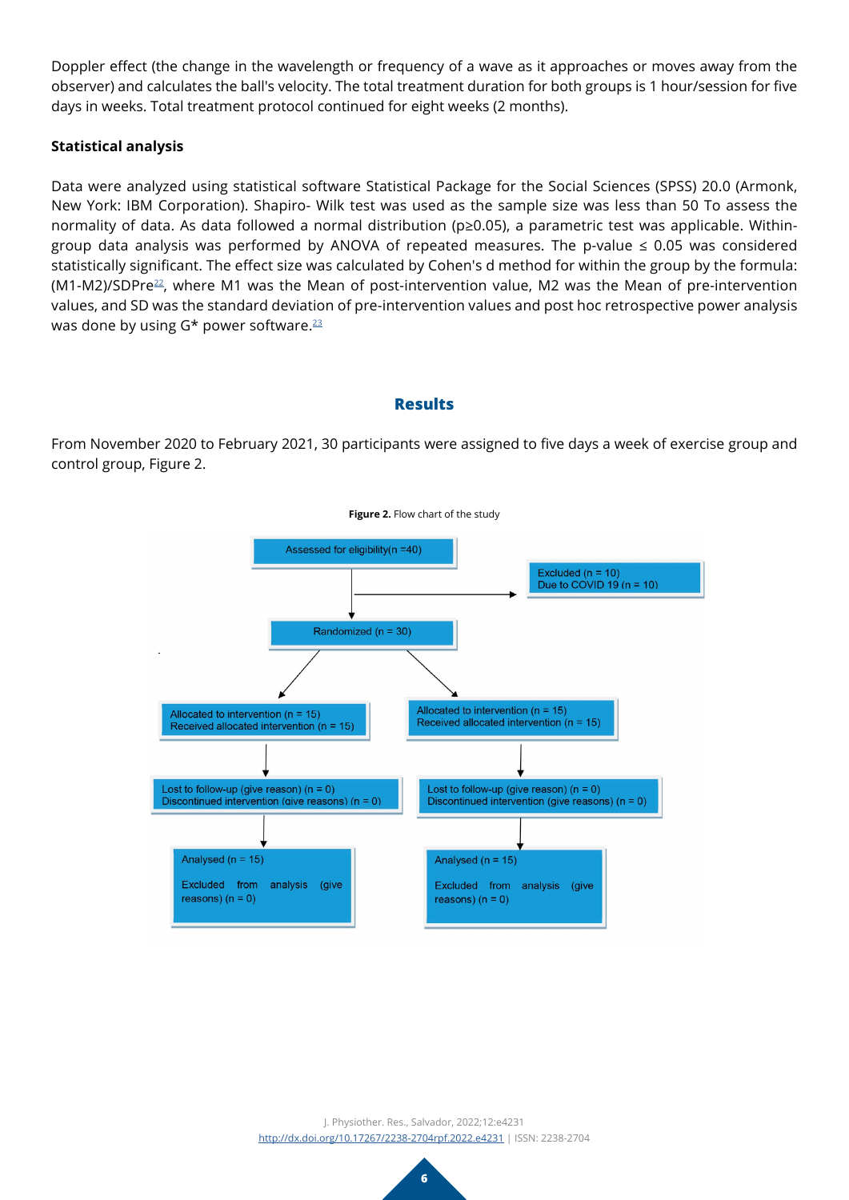Doppler effect (the change in the wavelength or frequency of a wave as it approaches or moves away from the observer) and calculates the ball's velocity. The total treatment duration for both groups is 1 hour/session for five days in weeks. Total treatment protocol continued for eight weeks (2 months).

# **Statistical analysis**

Data were analyzed using statistical software Statistical Package for the Social Sciences (SPSS) 20.0 (Armonk, New York: IBM Corporation). Shapiro- Wilk test was used as the sample size was less than 50 To assess the normality of data. As data followed a normal distribution (p≥0.05), a parametric test was applicable. Withingroup data analysis was performed by ANOVA of repeated measures. The p-value  $\leq$  0.05 was considered statistically significant. The effect size was calculated by Cohen's d method for within the group by the formula: (M1-M2)/SDPr[e22,](#page-9-15) where M1 was the Mean of post-intervention value, M2 was the Mean of pre-intervention values, and SD was the standard deviation of pre-intervention values and post hoc retrospective power analysis was done by using G\* power software.<sup>23</sup>

# **Results**

From November 2020 to February 2021, 30 participants were assigned to five days a week of exercise group and control group, Figure 2.



**Figure 2.** Flow chart of the study

J. Physiother. Res., Salvador, 2022;12:e4231 <http://dx.doi.org/10.17267/2238-2704rpf.2022.e4231> | ISSN: 2238-2704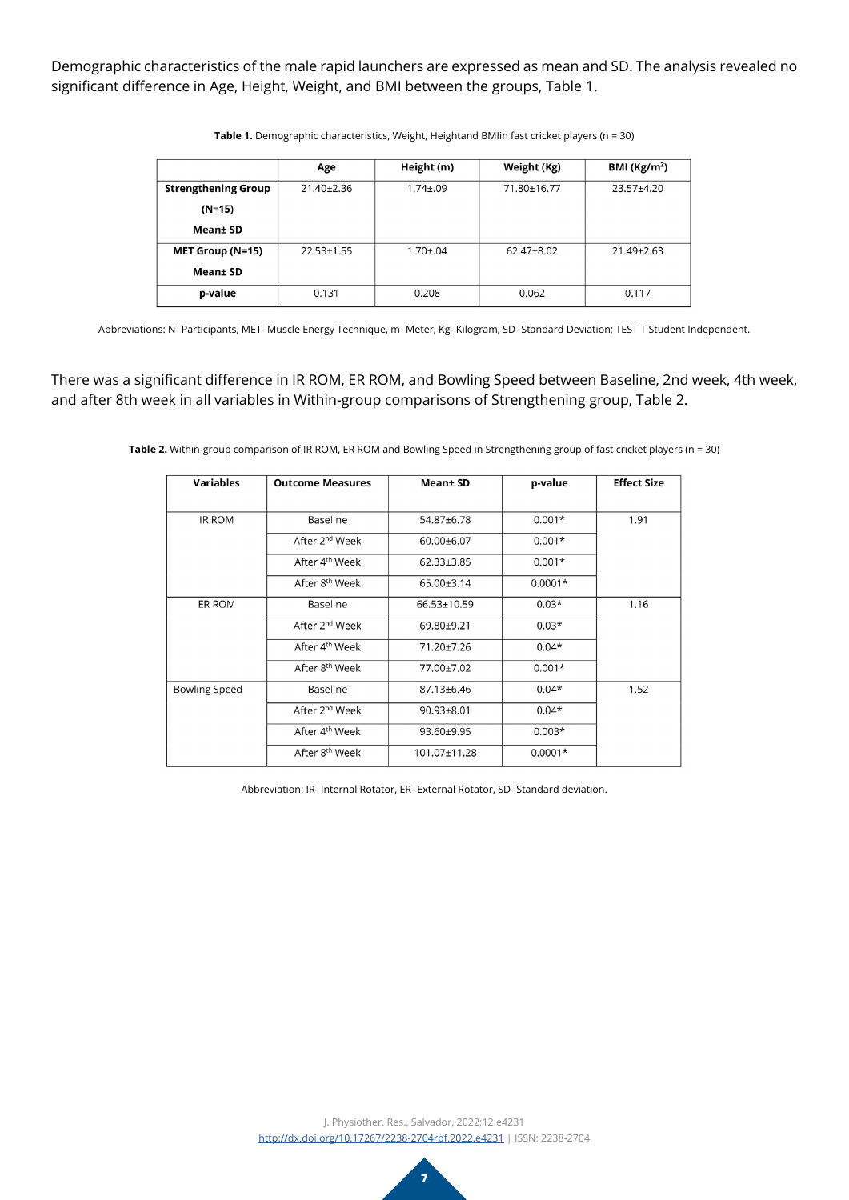Demographic characteristics of the male rapid launchers are expressed as mean and SD. The analysis revealed no significant difference in Age, Height, Weight, and BMI between the groups, Table 1.

|                            | Age              | Height (m)      | Weight (Kg) | BMI ( $\text{Kg/m}^2$ ) |
|----------------------------|------------------|-----------------|-------------|-------------------------|
| <b>Strengthening Group</b> | $21.40 \pm 2.36$ | $1.74 \pm 0.09$ | 71.80±16.77 | $23.57 + 4.20$          |
| $(N=15)$                   |                  |                 |             |                         |
| Mean± SD                   |                  |                 |             |                         |
| MET Group (N=15)           | $22.53 + 1.55$   | $1.70 \pm 0.04$ | 62.47±8.02  | $21.49 + 2.63$          |
| Mean±SD                    |                  |                 |             |                         |
| p-value                    | 0.131            | 0.208           | 0.062       | 0.117                   |

**Table 1.** Demographic characteristics, Weight, Heightand BMIin fast cricket players (n = 30)

Abbreviations: N- Participants, MET- Muscle Energy Technique, m- Meter, Kg- Kilogram, SD- Standard Deviation; TEST T Student Independent.

There was a significant difference in IR ROM, ER ROM, and Bowling Speed between Baseline, 2nd week, 4th week, and after 8th week in all variables in Within-group comparisons of Strengthening group, Table 2.

**Table 2.** Within-group comparison of IR ROM, ER ROM and Bowling Speed in Strengthening group of fast cricket players (n = 30)

| <b>Variables</b> | <b>Outcome Measures</b>    | Mean± SD         | p-value   | <b>Effect Size</b> |
|------------------|----------------------------|------------------|-----------|--------------------|
| IR ROM           | Baseline                   | 54.87±6.78       | $0.001*$  | 1.91               |
|                  | After 2 <sup>nd</sup> Week | $60.00 \pm 6.07$ | $0.001*$  |                    |
|                  | After 4 <sup>th</sup> Week | 62.33±3.85       | $0.001*$  |                    |
|                  | After 8 <sup>th</sup> Week | 65.00±3.14       | $0.0001*$ |                    |
| ER ROM           | Baseline                   | 66.53+10.59      | $0.03*$   | 1.16               |
|                  | After 2 <sup>nd</sup> Week | 69.80±9.21       | $0.03*$   |                    |
|                  | After 4 <sup>th</sup> Week | 71.20±7.26       | $0.04*$   |                    |
|                  | After 8 <sup>th</sup> Week | 77.00±7.02       | $0.001*$  |                    |
| Bowling Speed    | Baseline                   | 87.13±6.46       | $0.04*$   | 1.52               |
|                  | After 2 <sup>nd</sup> Week | 90.93±8.01       | $0.04*$   |                    |
|                  | After 4 <sup>th</sup> Week | 93.60±9.95       | $0.003*$  |                    |
|                  | After 8 <sup>th</sup> Week | 101.07±11.28     | $0.0001*$ |                    |

Abbreviation: IR- Internal Rotator, ER- External Rotator, SD- Standard deviation.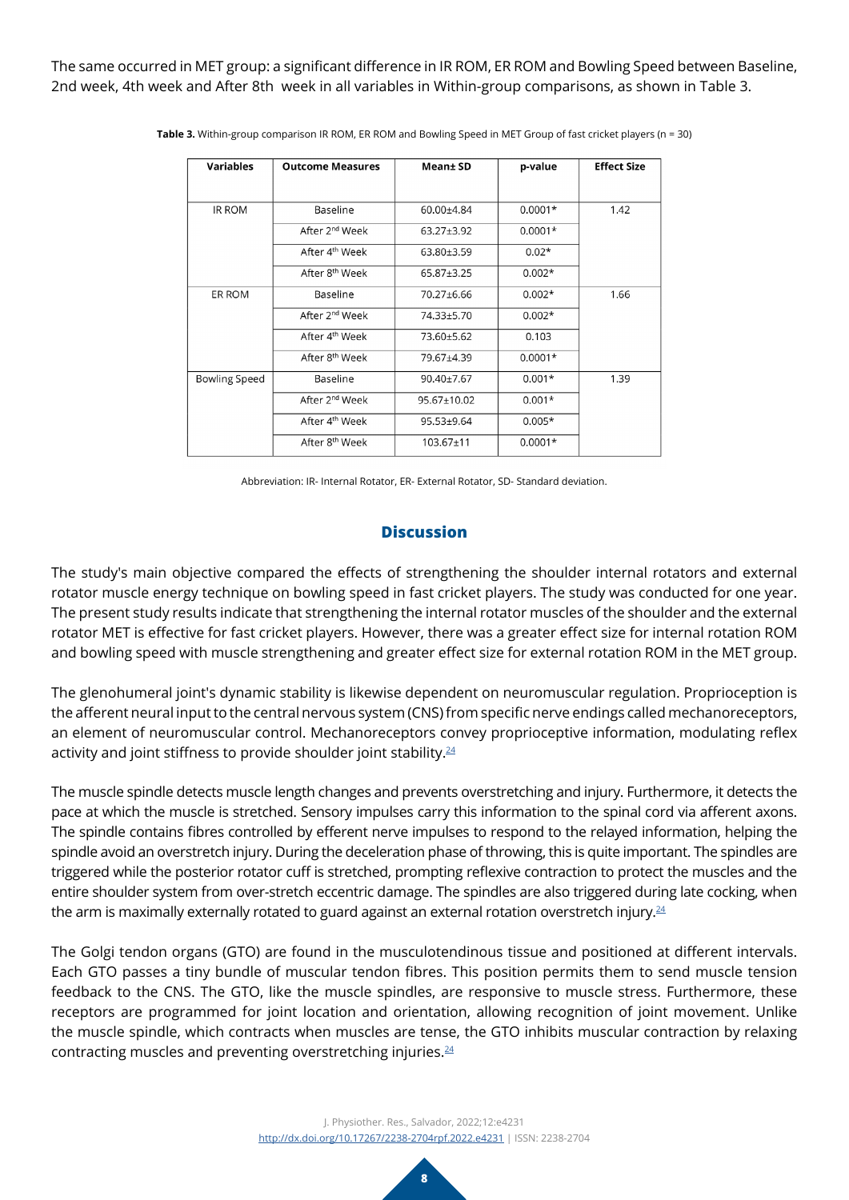The same occurred in MET group: a significant difference in IR ROM, ER ROM and Bowling Speed between Baseline, 2nd week, 4th week and After 8th week in all variables in Within-group comparisons, as shown in Table 3.

| <b>Variables</b>     | <b>Outcome Measures</b>    | Mean± SD    | p-value   | <b>Effect Size</b> |
|----------------------|----------------------------|-------------|-----------|--------------------|
|                      |                            |             |           |                    |
|                      |                            |             |           |                    |
| IR ROM               | Baseline                   | 60.00±4.84  | $0.0001*$ | 1.42               |
|                      | After 2 <sup>nd</sup> Week | 63.27±3.92  | $0.0001*$ |                    |
|                      | After 4 <sup>th</sup> Week | 63.80±3.59  | $0.02*$   |                    |
|                      | After 8 <sup>th</sup> Week | 65.87±3.25  | $0.002*$  |                    |
| ER ROM               | Baseline                   | 70.27±6.66  | $0.002*$  | 1.66               |
|                      | After 2 <sup>nd</sup> Week | 74.33±5.70  | $0.002*$  |                    |
|                      | After 4 <sup>th</sup> Week | 73.60±5.62  | 0.103     |                    |
|                      | After 8 <sup>th</sup> Week | 79.67±4.39  | $0.0001*$ |                    |
| <b>Bowling Speed</b> | Baseline                   | 90.40±7.67  | $0.001*$  | 1.39               |
|                      | After 2 <sup>nd</sup> Week | 95.67+10.02 | $0.001*$  |                    |
|                      | After 4 <sup>th</sup> Week | 95.53±9.64  | $0.005*$  |                    |
|                      | After 8 <sup>th</sup> Week | 103.67±11   | $0.0001*$ |                    |

**Table 3.** Within-group comparison IR ROM, ER ROM and Bowling Speed in MET Group of fast cricket players (n = 30)

Abbreviation: IR- Internal Rotator, ER- External Rotator, SD- Standard deviation.

### **Discussion**

The study's main objective compared the effects of strengthening the shoulder internal rotators and external rotator muscle energy technique on bowling speed in fast cricket players. The study was conducted for one year. The present study results indicate that strengthening the internal rotator muscles of the shoulder and the external rotator MET is effective for fast cricket players. However, there was a greater effect size for internal rotation ROM and bowling speed with muscle strengthening and greater effect size for external rotation ROM in the MET group.

The glenohumeral joint's dynamic stability is likewise dependent on neuromuscular regulation. Proprioception is the afferent neural input to the central nervous system (CNS) from specific nerve endings called mechanoreceptors, an element of neuromuscular control. Mechanoreceptors convey proprioceptive information, modulating reflex activity and joint stiffness to provide shoulder joint stability. $24$ 

The muscle spindle detects muscle length changes and prevents overstretching and injury. Furthermore, it detects the pace at which the muscle is stretched. Sensory impulses carry this information to the spinal cord via afferent axons. The spindle contains fibres controlled by efferent nerve impulses to respond to the relayed information, helping the spindle avoid an overstretch injury. During the deceleration phase of throwing, this is quite important. The spindles are triggered while the posterior rotator cuff is stretched, prompting reflexive contraction to protect the muscles and the entire shoulder system from over-stretch eccentric damage. The spindles are also triggered during late cocking, when the arm is maximally externally rotated to guard against an external rotation overstretch injury.<sup>[24](#page-9-17)</sup>

The Golgi tendon organs (GTO) are found in the musculotendinous tissue and positioned at different intervals. Each GTO passes a tiny bundle of muscular tendon fibres. This position permits them to send muscle tension feedback to the CNS. The GTO, like the muscle spindles, are responsive to muscle stress. Furthermore, these receptors are programmed for joint location and orientation, allowing recognition of joint movement. Unlike the muscle spindle, which contracts when muscles are tense, the GTO inhibits muscular contraction by relaxing contracting muscles and preventing overstretching injuries.[24](#page-9-17)

> J. Physiother. Res., Salvador, 2022;12:e4231 <http://dx.doi.org/10.17267/2238-2704rpf.2022.e4231> | ISSN: 2238-2704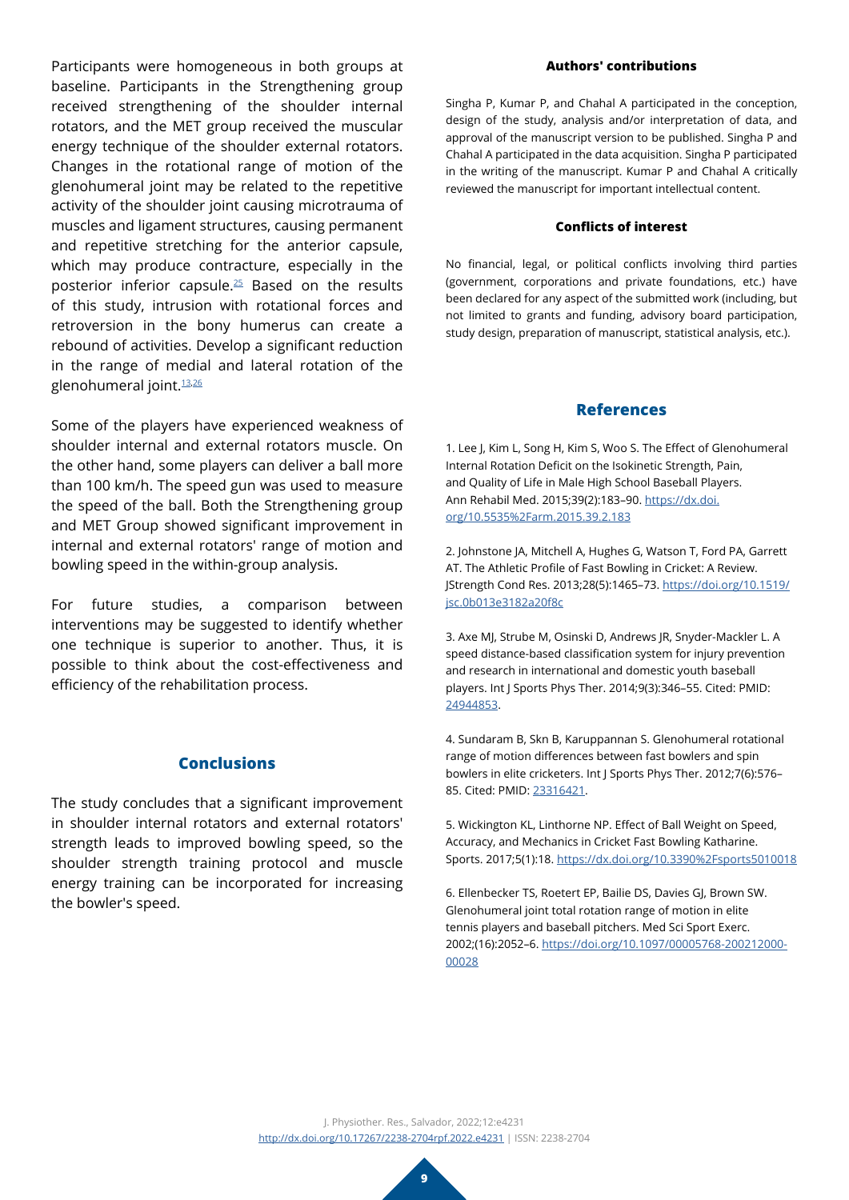Participants were homogeneous in both groups at baseline. Participants in the Strengthening group received strengthening of the shoulder internal rotators, and the MET group received the muscular energy technique of the shoulder external rotators. Changes in the rotational range of motion of the glenohumeral joint may be related to the repetitive activity of the shoulder joint causing microtrauma of muscles and ligament structures, causing permanent and repetitive stretching for the anterior capsule, which may produce contracture, especially in the posterior inferior capsule.[25](#page-9-18) Based on the results of this study, intrusion with rotational forces and retroversion in the bony humerus can create a rebound of activities. Develop a significant reduction in the range of medial and lateral rotation of the glenohumeral joint.[13](#page-9-4),[26](#page-9-19)

Some of the players have experienced weakness of shoulder internal and external rotators muscle. On the other hand, some players can deliver a ball more than 100 km/h. The speed gun was used to measure the speed of the ball. Both the Strengthening group and MET Group showed significant improvement in internal and external rotators' range of motion and bowling speed in the within-group analysis.

For future studies, a comparison between interventions may be suggested to identify whether one technique is superior to another. Thus, it is possible to think about the cost-effectiveness and efficiency of the rehabilitation process.

# **Conclusions**

The study concludes that a significant improvement in shoulder internal rotators and external rotators' strength leads to improved bowling speed, so the shoulder strength training protocol and muscle energy training can be incorporated for increasing the bowler's speed.

#### **Authors' contributions**

Singha P, Kumar P, and Chahal A participated in the conception, design of the study, analysis and/or interpretation of data, and approval of the manuscript version to be published. Singha P and Chahal A participated in the data acquisition. Singha P participated in the writing of the manuscript. Kumar P and Chahal A critically reviewed the manuscript for important intellectual content.

#### **Conflicts of interest**

No financial, legal, or political conflicts involving third parties (government, corporations and private foundations, etc.) have been declared for any aspect of the submitted work (including, but not limited to grants and funding, advisory board participation, study design, preparation of manuscript, statistical analysis, etc.).

#### **References**

<span id="page-8-0"></span>1. Lee J, Kim L, Song H, Kim S, Woo S. The Effect of Glenohumeral Internal Rotation Deficit on the Isokinetic Strength, Pain, and Quality of Life in Male High School Baseball Players. Ann Rehabil Med. 2015;39(2):183–90. [https://dx.doi.](https://dx.doi.org/10.5535%2Farm.2015.39.2.183) [org/10.5535%2Farm.2015.39.2.183](https://dx.doi.org/10.5535%2Farm.2015.39.2.183)

<span id="page-8-1"></span>2. Johnstone JA, Mitchell A, Hughes G, Watson T, Ford PA, Garrett AT. The Athletic Profile of Fast Bowling in Cricket: A Review. JStrength Cond Res. 2013;28(5):1465–73. [https://doi.org/10.1519/](https://doi.org/10.1519/jsc.0b013e3182a20f8c) [jsc.0b013e3182a20f8c](https://doi.org/10.1519/jsc.0b013e3182a20f8c)

<span id="page-8-2"></span>3. Axe MJ, Strube M, Osinski D, Andrews JR, Snyder-Mackler L. A speed distance-based classification system for injury prevention and research in international and domestic youth baseball players. Int J Sports Phys Ther. 2014;9(3):346–55. Cited: PMID: [24944853](https://pubmed.ncbi.nlm.nih.gov/24944853/).

<span id="page-8-3"></span>4. Sundaram B, Skn B, Karuppannan S. Glenohumeral rotational range of motion differences between fast bowlers and spin bowlers in elite cricketers. Int J Sports Phys Ther. 2012;7(6):576– 85. Cited: PMID: [23316421](https://pubmed.ncbi.nlm.nih.gov/23316421/).

<span id="page-8-4"></span>5. Wickington KL, Linthorne NP. Effect of Ball Weight on Speed, Accuracy, and Mechanics in Cricket Fast Bowling Katharine. Sports. 2017;5(1):18. <https://dx.doi.org/10.3390%2Fsports5010018>

<span id="page-8-5"></span>6. Ellenbecker TS, Roetert EP, Bailie DS, Davies GJ, Brown SW. Glenohumeral joint total rotation range of motion in elite tennis players and baseball pitchers. Med Sci Sport Exerc. 2002;(16):2052–6. [https://doi.org/10.1097/00005768-200212000-](https://doi.org/10.1097/00005768-200212000-00028) [00028](https://doi.org/10.1097/00005768-200212000-00028)

J. Physiother. Res., Salvador, 2022;12:e4231 <http://dx.doi.org/10.17267/2238-2704rpf.2022.e4231> | ISSN: 2238-2704